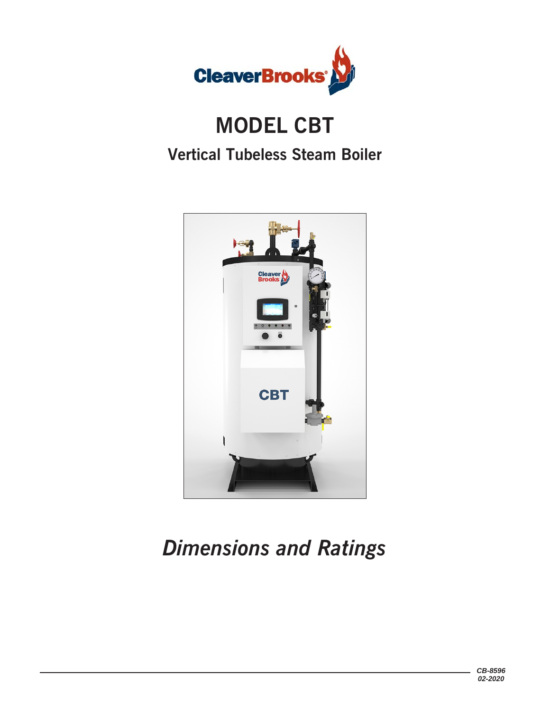

# **MODEL CBT Vertical Tubeless Steam Boiler**



# *Dimensions and Ratings*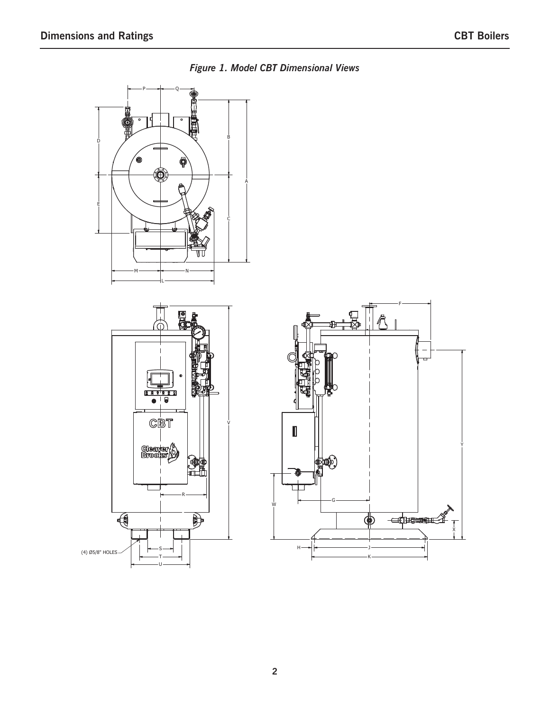

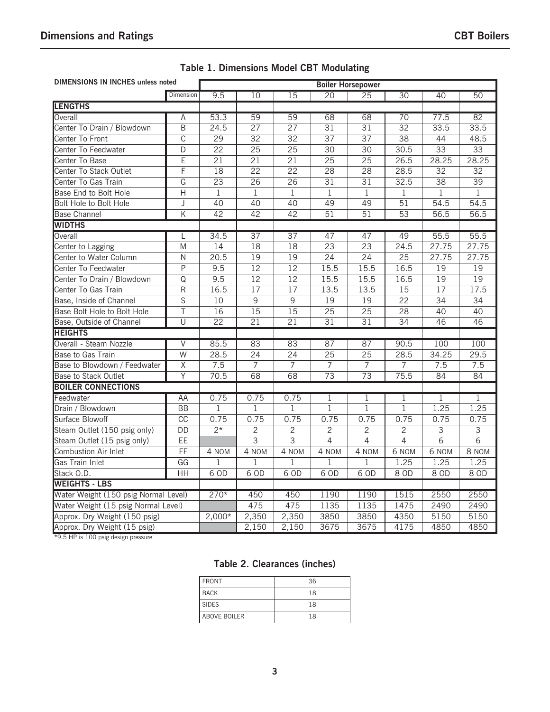| <b>DIMENSIONS IN INCHES unless noted</b> | <b>Boiler Horsepower</b> |                    |                 |                 |                 |                 |                 |                 |                 |
|------------------------------------------|--------------------------|--------------------|-----------------|-----------------|-----------------|-----------------|-----------------|-----------------|-----------------|
|                                          | Dimension                | 9.5                | 10              | 15              | 20              | 25              | 30              | 40              | 50              |
| <b>LENGTHS</b>                           |                          |                    |                 |                 |                 |                 |                 |                 |                 |
| Overall                                  | Α                        | 53.3               | 59              | 59              | 68              | 68              | $\overline{70}$ | 77.5            | $\overline{82}$ |
| Center To Drain / Blowdown               | $\overline{\mathsf{B}}$  | 24.5               | $\overline{27}$ | $\overline{27}$ | $\overline{31}$ | $\overline{31}$ | $\overline{32}$ | 33.5            | 33.5            |
| Center To Front                          | $\overline{\text{c}}$    | $\overline{29}$    | $\overline{32}$ | $\overline{32}$ | $\overline{37}$ | $\overline{37}$ | $\overline{38}$ | 44              | 48.5            |
| Center To Feedwater                      | $\overline{\mathsf{D}}$  | $\overline{22}$    | $\overline{25}$ | $\overline{25}$ | $\overline{30}$ | $\overline{30}$ | 30.5            | $\overline{33}$ | $\overline{33}$ |
| Center To Base                           | E                        | $\overline{21}$    | $\overline{21}$ | $\overline{21}$ | $\overline{25}$ | $\overline{25}$ | 26.5            | 28.25           | 28.25           |
| Center To Stack Outlet                   | F                        | 18                 | $\overline{22}$ | $\overline{22}$ | $\overline{28}$ | $\overline{28}$ | 28.5            | $\overline{32}$ | $\overline{32}$ |
| Center To Gas Train                      | $\overline{G}$           | $\overline{23}$    | $\overline{26}$ | $\overline{26}$ | $\overline{31}$ | $\overline{31}$ | 32.5            | $\overline{38}$ | $\overline{39}$ |
| Base End to Bolt Hole                    | $\overline{H}$           | $\mathbf 1$        | $\mathbf{1}$    | $\mathbf{1}$    | $\overline{1}$  | $\overline{1}$  | $\mathbf 1$     | $\mathbf{1}$    | $\mathbf{1}$    |
| <b>Bolt Hole to Bolt Hole</b>            | J                        | $\overline{40}$    | $\overline{40}$ | $\overline{40}$ | $\overline{49}$ | $\overline{49}$ | $\overline{51}$ | 54.5            | 54.5            |
| <b>Base Channel</b>                      | $\overline{\mathsf{K}}$  | $\overline{42}$    | 42              | $\overline{42}$ | $\overline{51}$ | $\overline{51}$ | $\overline{53}$ | 56.5            | 56.5            |
| <b>WIDTHS</b>                            |                          |                    |                 |                 |                 |                 |                 |                 |                 |
| Overall                                  | L                        | 34.5               | $\overline{37}$ | 37              | 47              | 47              | 49              | 55.5            | 55.5            |
| Center to Lagging                        | M                        | $\overline{14}$    | $\overline{18}$ | $\overline{18}$ | $\overline{23}$ | $\overline{23}$ | 24.5            | 27.75           | 27.75           |
| Center to Water Column                   | N                        | $\overline{20.5}$  | $\overline{19}$ | $\overline{19}$ | $\overline{24}$ | $\overline{24}$ | $\overline{25}$ | 27.75           | 27.75           |
| Center To Feedwater                      | P                        | 9.5                | $\overline{12}$ | $\overline{12}$ | 15.5            | 15.5            | 16.5            | $\overline{19}$ | $\overline{19}$ |
| Center To Drain / Blowdown               | Q                        | 9.5                | $\overline{12}$ | $\overline{12}$ | 15.5            | 15.5            | 16.5            | $\overline{19}$ | $\overline{19}$ |
| Center To Gas Train                      | $\overline{\mathsf{R}}$  | 16.5               | $\overline{17}$ | $\overline{17}$ | 13.5            | 13.5            | $\overline{15}$ | $\overline{17}$ | 17.5            |
| Base, Inside of Channel                  | $\overline{s}$           | 10                 | $\overline{9}$  | $\overline{9}$  | $\overline{19}$ | 19              | $\overline{22}$ | $\overline{34}$ | $\overline{34}$ |
| Base Bolt Hole to Bolt Hole              | $\overline{\top}$        | 16                 | $\overline{15}$ | $\overline{15}$ | $\overline{25}$ | $\overline{25}$ | $\overline{28}$ | 40              | $\overline{40}$ |
| Base, Outside of Channel                 | U                        | $\overline{22}$    | $\overline{21}$ | $\overline{21}$ | $\overline{31}$ | $\overline{31}$ | $\overline{34}$ | 46              | 46              |
| <b>HEIGHTS</b>                           |                          |                    |                 |                 |                 |                 |                 |                 |                 |
| Overall - Steam Nozzle                   | $\overline{\mathsf{V}}$  | 85.5               | 83              | 83              | 87              | 87              | 90.5            | 100             | 100             |
| <b>Base to Gas Train</b>                 | $\overline{W}$           | 28.5               | $\overline{24}$ | $\overline{24}$ | $\overline{25}$ | $\overline{25}$ | 28.5            | 34.25           | 29.5            |
| Base to Blowdown / Feedwater             | $\overline{\mathsf{X}}$  | 7.5                | 7               | $\overline{7}$  | $\overline{7}$  | 7               | 7               | 7.5             | 7.5             |
| Base to Stack Outlet                     | Υ                        | 70.5               | $\overline{68}$ | $\overline{68}$ | $\overline{73}$ | $\overline{73}$ | 75.5            | $\overline{84}$ | $\overline{84}$ |
| <b>BOILER CONNECTIONS</b>                |                          |                    |                 |                 |                 |                 |                 |                 |                 |
| Feedwater                                | AA                       | 0.75               | 0.75            | 0.75            | $\mathbf{1}$    | $\mathbf{1}$    | $\mathbf{1}$    | $\mathbf{1}$    | $\mathbf{1}$    |
| Drain / Blowdown                         | $\overline{BB}$          | $\mathbf{1}$       | $\overline{1}$  | $\mathbf{1}$    | $\mathbf{1}$    | $\overline{1}$  | $\overline{1}$  | 1.25            | 1.25            |
| Surface Blowoff                          | $\overline{CC}$          | 0.75               | 0.75            | 0.75            | 0.75            | 0.75            | 0.75            | 0.75            | 0.75            |
| Steam Outlet (150 psig only)             | $\overline{DD}$          | $\overline{2*}$    | $\overline{2}$  | $\overline{2}$  | $\overline{2}$  | $\overline{2}$  | $\overline{2}$  | $\overline{3}$  | $\overline{3}$  |
| Steam Outlet (15 psig only)              | $\overline{EE}$          |                    | $\overline{3}$  | $\overline{3}$  | $\overline{4}$  | $\overline{4}$  | $\overline{4}$  | $\overline{6}$  | $\overline{6}$  |
| <b>Combustion Air Inlet</b>              | $\overline{FF}$          | $\overline{4}$ NOM | 4 NOM           | 4 NOM           | 4 NOM           | 4 NOM           | 6 NOM           | 6 NOM           | 8 NOM           |
| Gas Train Inlet                          | $\overline{\text{GG}}$   | $\mathbf{1}$       | $\mathbf{1}$    | 1               | $\mathbf{1}$    | $\mathbf{1}$    | 1.25            | 1.25            | 1.25            |
| Stack O.D.                               | $\overline{HH}$          | 60D                | 60D             | 60D             | 60D             | 60D             | $8$ OD          | $8$ OD          | $8$ OD          |
| <b>WEIGHTS - LBS</b>                     |                          |                    |                 |                 |                 |                 |                 |                 |                 |
| Water Weight (150 psig Normal Level)     |                          | $270*$             | 450             | 450             | 1190            | 1190            | 1515            | 2550            | 2550            |
| Water Weight (15 psig Normal Level)      |                          |                    | 475             | 475             | 1135            | 1135            | 1475            | 2490            | 2490            |
| Approx. Dry Weight (150 psig)            |                          | $2,000*$           | 2,350           | 2,350           | 3850            | 3850            | 4350            | 5150            | 5150            |
| Approx. Dry Weight (15 psig)             |                          |                    | 2,150           | 2,150           | 3675            | 3675            | 4175            | 4850            | 4850            |

 $*9.5$  HP is 100 psig design pressure

### **Table 2. Clearances (inches)**

| <b>FRONT</b>        | 36 |
|---------------------|----|
| <b>BACK</b>         | 18 |
| <b>SIDES</b>        | 18 |
| <b>ABOVE BOILER</b> | 18 |